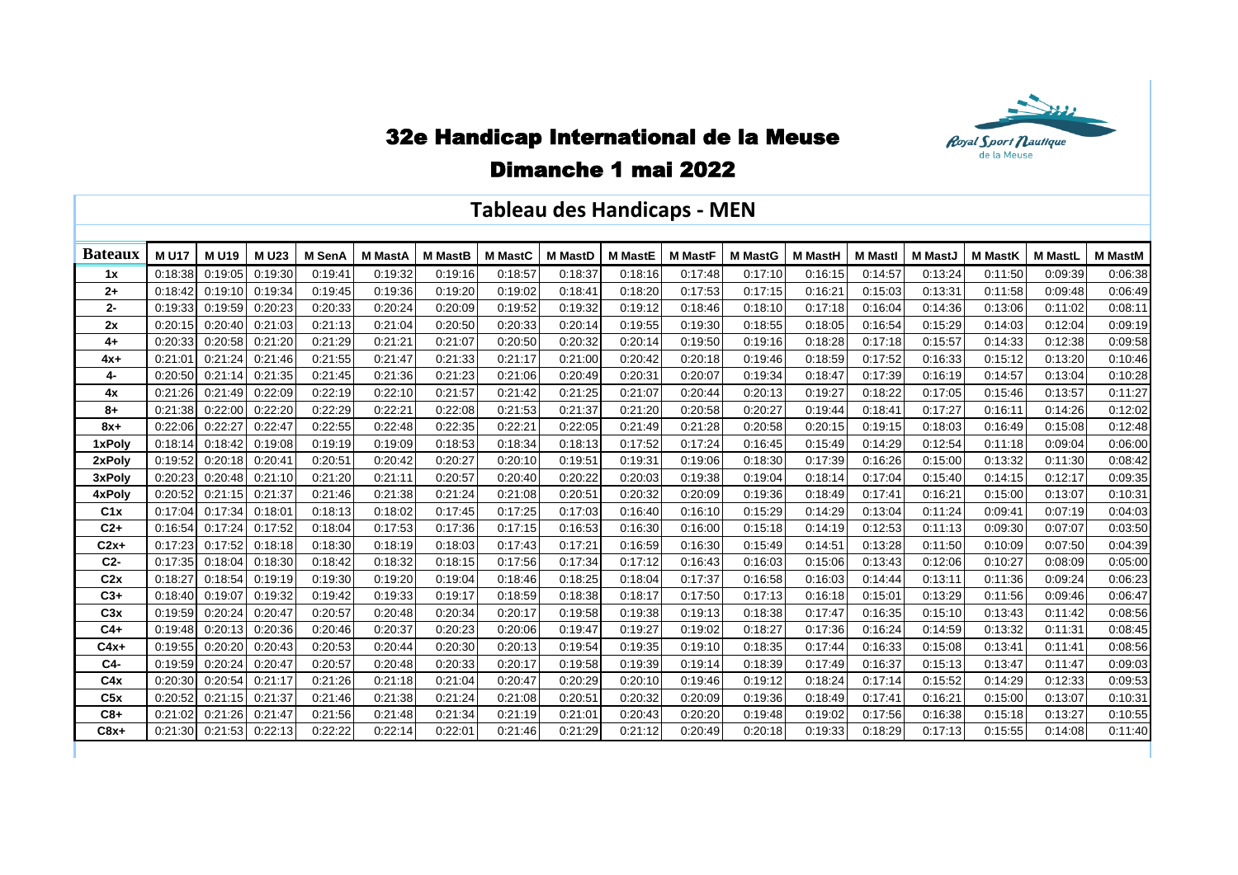

## 32e Handicap International de la Meuse

## Dimanche 1 mai 2022

## **Tableau des Handicaps - MEN**

| <b>Bateaux</b> | <b>MU17</b> | <b>MU19</b> | <b>MU23</b> | M SenA  | <b>M MastA</b> | <b>M</b> MastB | <b>M</b> MastC | <b>M MastD</b> | <b>M MastE</b> | <b>M MastF</b> | <b>M MastG</b> | <b>M MastH</b> | <b>M</b> Mastl | <b>M</b> MastJ | <b>M MastK</b> | <b>M MastL</b> | <b>M MastM</b> |
|----------------|-------------|-------------|-------------|---------|----------------|----------------|----------------|----------------|----------------|----------------|----------------|----------------|----------------|----------------|----------------|----------------|----------------|
| 1x             | 0:18:38     | 0:19:05     | 0:19:30     | 0:19:41 | 0:19:32        | 0:19:16        | 0:18:57        | 0:18:37        | 0:18:16        | 0:17:48        | 0:17:10        | 0:16:15        | 0:14:57        | 0:13:24        | 0:11:50        | 0:09:39        | 0:06:38        |
| $2+$           | 0:18:42     | 0:19:10     | 0:19:34     | 0:19:45 | 0:19:36        | 0:19:20        | 0:19:02        | 0:18:41        | 0:18:20        | 0:17:53        | 0:17:15        | 0:16:21        | 0:15:03        | 0:13:31        | 0:11:58        | 0:09:48        | 0:06:49        |
| $2-$           | 0:19:33     | 0:19:59     | 0:20:23     | 0:20:33 | 0:20:24        | 0:20:09        | 0:19:52        | 0:19:32        | 0:19:12        | 0:18:46        | 0:18:10        | 0:17:18        | 0:16:04        | 0:14:36        | 0:13:06        | 0:11:02        | 0:08:11        |
| 2x             | 0:20:15     | 0:20:40     | 0:21:03     | 0:21:13 | 0:21:04        | 0:20:50        | 0:20:33        | 0:20:14        | 0:19:55        | 0:19:30        | 0:18:55        | 0:18:05        | 0:16:54        | 0:15:29        | 0:14:03        | 0:12:04        | 0:09:19        |
| $4+$           | 0:20:33     | 0:20:58     | 0:21:20     | 0:21:29 | 0:21:21        | 0:21:07        | 0:20:50        | 0:20:32        | 0:20:14        | 0:19:50        | 0:19:16        | 0:18:28        | 0:17:18        | 0:15:57        | 0:14:33        | 0:12:38        | 0:09:58        |
| $4x+$          | 0:21:01     | 0:21:24     | 0:21:46     | 0:21:55 | 0:21:47        | 0:21:33        | 0:21:17        | 0:21:00        | 0:20:42        | 0:20:18        | 0:19:46        | 0:18:59        | 0:17:52        | 0:16:33        | 0:15:12        | 0:13:20        | 0:10:46        |
| 4-             | 0:20:50     | 0:21:14     | 0:21:35     | 0:21:45 | 0:21:36        | 0:21:23        | 0:21:06        | 0:20:49        | 0:20:31        | 0:20:07        | 0:19:34        | 0:18:47        | 0:17:39        | 0:16:19        | 0:14:57        | 0:13:04        | 0:10:28        |
| 4x             | 0:21:26     | 0:21:49     | 0:22:09     | 0:22:19 | 0:22:10        | 0:21:57        | 0:21:42        | 0:21:25        | 0:21:07        | 0:20:44        | 0:20:13        | 0:19:27        | 0:18:22        | 0:17:05        | 0:15:46        | 0:13:57        | 0:11:27        |
| $8+$           | 0:21:38     | 0:22:00     | 0:22:20     | 0:22:29 | 0:22:21        | 0:22:08        | 0:21:53        | 0:21:37        | 0:21:20        | 0:20:58        | 0:20:27        | 0:19:44        | 0:18:41        | 0:17:27        | 0:16:11        | 0:14:26        | 0:12:02        |
| $8x+$          | 0:22:06     | 0:22:27     | 0.22:47     | 0:22:55 | 0:22:48        | 0:22:35        | 0:22:21        | 0:22:05        | 0:21:49        | 0:21:28        | 0:20:58        | 0:20:15        | 0:19:15        | 0:18:03        | 0:16:49        | 0:15:08        | 0:12:48        |
| 1xPolv         | 0:18:14     | 0:18:42     | 0:19:08     | 0:19:19 | 0:19:09        | 0:18:53        | 0:18:34        | 0:18:13        | 0:17:52        | 0:17:24        | 0:16:45        | 0:15:49        | 0:14:29        | 0:12:54        | 0:11:18        | 0:09:04        | 0:06:00        |
| 2xPolv         | 0:19:52     | 0:20:18     | 0:20:4'     | 0:20:51 | 0:20:42        | 0:20:27        | 0:20:10        | 0:19:51        | 0:19:31        | 0:19:06        | 0:18:30        | 0:17:39        | 0:16:26        | 0:15:00        | 0:13:32        | 0:11:30        | 0:08:42        |
| 3xPoly         | 0:20:23     | 0:20:48     | 0:21:10     | 0:21:20 | 0:21:11        | 0:20:57        | 0:20:40        | 0:20:22        | 0:20:03        | 0:19:38        | 0:19:04        | 0:18:14        | 0:17:04        | 0:15:40        | 0:14:15        | 0:12:17        | 0:09:35        |
| 4xPoly         | 0:20:52     | 0:21:15     | 0:21:37     | 0:21:46 | 0:21:38        | 0:21:24        | 0:21:08        | 0:20:51        | 0:20:32        | 0:20:09        | 0:19:36        | 0:18:49        | 0:17:41        | 0:16:21        | 0:15:00        | 0:13:07        | 0:10:31        |
| C1x            | 0:17:04     | 0:17:34     | 0:18:01     | 0:18:13 | 0:18:02        | 0:17:45        | 0:17:25        | 0:17:03        | 0:16:40        | 0:16:10        | 0:15:29        | 0:14:29        | 0:13:04        | 0:11:24        | 0:09:41        | 0:07:19        | 0:04:03        |
| $C2+$          | 0:16:54     | 0:17:24     | 0:17:52     | 0:18:04 | 0:17:53        | 0:17:36        | 0:17:15        | 0:16:53        | 0:16:30        | 0:16:00        | 0:15:18        | 0:14:19        | 0:12:53        | 0:11:13        | 0:09:30        | 0:07:07        | 0:03:50        |
| $C2x+$         | 0:17:23     | 0:17:52     | 0:18:18     | 0:18:30 | 0:18:19        | 0:18:03        | 0:17:43        | 0:17:21        | 0:16:59        | 0:16:30        | 0:15:49        | 0:14:51        | 0:13:28        | 0:11:50        | 0:10:09        | 0:07:50        | 0:04:39        |
| $C2-$          | 0:17:35     | 0:18:04     | 0:18:30     | 0:18:42 | 0:18:32        | 0:18:15        | 0:17:56        | 0:17:34        | 0:17:12        | 0:16:43        | 0:16:03        | 0:15:06        | 0:13:43        | 0:12:06        | 0:10:27        | 0:08:09        | 0:05:00        |
| C2x            | 0:18:27     | 0:18:54     | 0:19:19     | 0:19:30 | 0:19:20        | 0:19:04        | 0:18:46        | 0:18:25        | 0:18:04        | 0:17:37        | 0:16:58        | 0:16:03        | 0:14:44        | 0:13:11        | 0:11:36        | 0:09:24        | 0:06:23        |
| $C3+$          | 0:18:40     | 0:19:07     | 0:19:32     | 0:19:42 | 0:19:33        | 0:19:17        | 0:18:59        | 0:18:38        | 0:18:17        | 0:17:50        | 0:17:13        | 0:16:18        | 0:15:01        | 0:13:29        | 0:11:56        | 0:09:46        | 0:06:47        |
| C3x            | 0:19:59     | 0:20:24     | 0:20:47     | 0:20:57 | 0:20:48        | 0:20:34        | 0:20:17        | 0:19:58        | 0:19:38        | 0:19:13        | 0:18:38        | 0:17:47        | 0:16:35        | 0:15:10        | 0:13:43        | 0:11:42        | 0:08:56        |
| $C4+$          | 0:19:48     | 0:20:13     | 0:20:36     | 0:20:46 | 0:20:37        | 0:20:23        | 0:20:06        | 0:19:47        | 0:19:27        | 0:19:02        | 0:18:27        | 0:17:36        | 0:16:24        | 0:14:59        | 0:13:32        | 0:11:31        | 0:08:45        |
| $C4x+$         | 0:19:55     | 0:20:20     | 0:20:43     | 0:20:53 | 0:20:44        | 0:20:30        | 0:20:13        | 0:19:54        | 0:19:35        | 0:19:10        | 0:18:35        | 0:17:44        | 0:16:33        | 0:15:08        | 0:13:41        | 0:11:41        | 0:08:56        |
| $C4-$          | 0:19:59     | 0:20:24     | 0:20:47     | 0:20:57 | 0:20:48        | 0:20:33        | 0:20:17        | 0:19:58        | 0:19:39        | 0:19:14        | 0:18:39        | 0:17:49        | 0:16:37        | 0:15:13        | 0:13:47        | 0:11:47        | 0:09:03        |
| C4x            | 0:20:30     | 0:20:54     | 0:21:17     | 0:21:26 | 0:21:18        | 0:21:04        | 0:20:47        | 0:20:29        | 0:20:10        | 0:19:46        | 0:19:12        | 0:18:24        | 0:17:14        | 0:15:52        | 0:14:29        | 0:12:33        | 0:09:53        |
| C5x            | 0:20:52     | 0:21:15     | 0:21:37     | 0:21:46 | 0:21:38        | 0:21:24        | 0:21:08        | 0:20:51        | 0:20:32        | 0:20:09        | 0:19:36        | 0:18:49        | 0:17:41        | 0:16:21        | 0:15:00        | 0:13:07        | 0:10:31        |
| $C8+$          | 0:21:02     | 0:21:26     | 0:21:47     | 0:21:56 | 0:21:48        | 0:21:34        | 0:21:19        | 0:21:01        | 0:20:43        | 0:20:20        | 0:19:48        | 0:19:02        | 0:17:56        | 0:16:38        | 0:15:18        | 0:13:27        | 0:10:55        |
| $C8x+$         | 0:21:30     | 0:21:53     | 0:22:13     | 0:22:22 | 0:22:14        | 0:22:01        | 0:21:46        | 0:21:29        | 0:21:12        | 0:20:49        | 0:20:18        | 0:19:33        | 0:18:29        | 0:17:13        | 0:15:55        | 0:14:08        | 0:11:40        |